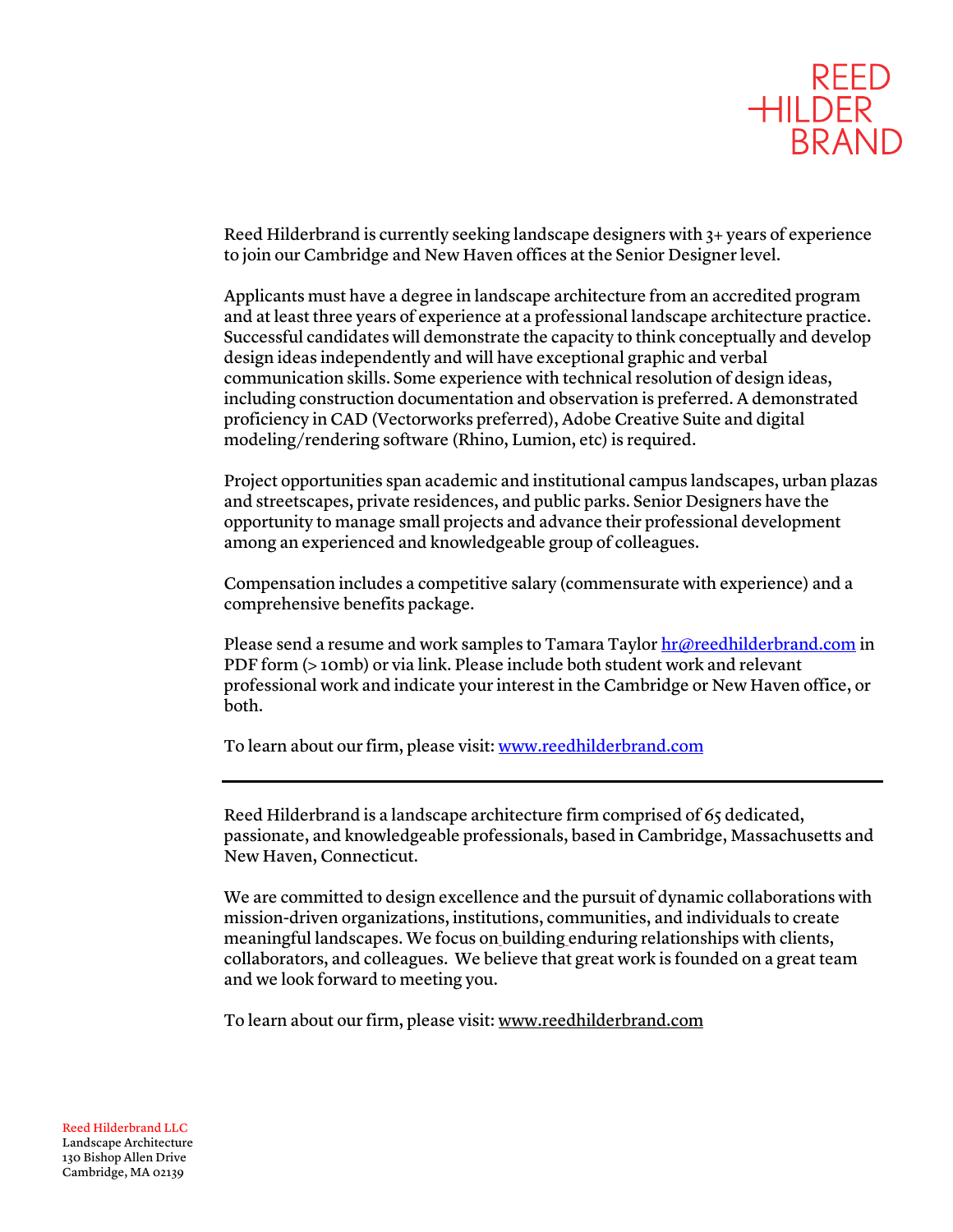

Reed Hilderbrand is currently seeking landscape designers with 3+ years of experience to join our Cambridge and New Haven offices at the Senior Designer level.

Applicants must have a degree in landscape architecture from an accredited program and at least three years of experience at a professional landscape architecture practice. Successful candidates will demonstrate the capacity to think conceptually and develop design ideas independently and will have exceptional graphic and verbal communication skills. Some experience with technical resolution of design ideas, including construction documentation and observation is preferred. A demonstrated proficiency in CAD (Vectorworks preferred), Adobe Creative Suite and digital modeling/rendering software (Rhino, Lumion, etc) is required.

Project opportunities span academic and institutional campus landscapes, urban plazas and streetscapes, private residences, and public parks. Senior Designers have the opportunity to manage small projects and advance their professional development among an experienced and knowledgeable group of colleagues.

Compensation includes a competitive salary (commensurate with experience) and a comprehensive benefits package.

Please send a resume and work samples to Tamara Taylor  $hr@reedhilderbrand.com$  in PDF form (> 10mb) or via link. Please include both student work and relevant professional work and indicate your interest in the Cambridge or New Haven office, or both.

To learn about our firm, please visit: www.reedhilderbrand.com

Reed Hilderbrand is a landscape architecture firm comprised of 65 dedicated, passionate, and knowledgeable professionals, based in Cambridge, Massachusetts and New Haven, Connecticut.

We are committed to design excellence and the pursuit of dynamic collaborations with mission-driven organizations, institutions, communities, and individuals to create meaningful landscapes. We focus on building enduring relationships with clients, collaborators, and colleagues. We believe that great work is founded on a great team and we look forward to meeting you.

To learn about our firm, please visit: www.reedhilderbrand.com

Reed Hilderbrand LLC Landscape Architecture 130 Bishop Allen Drive Cambridge, MA 02139